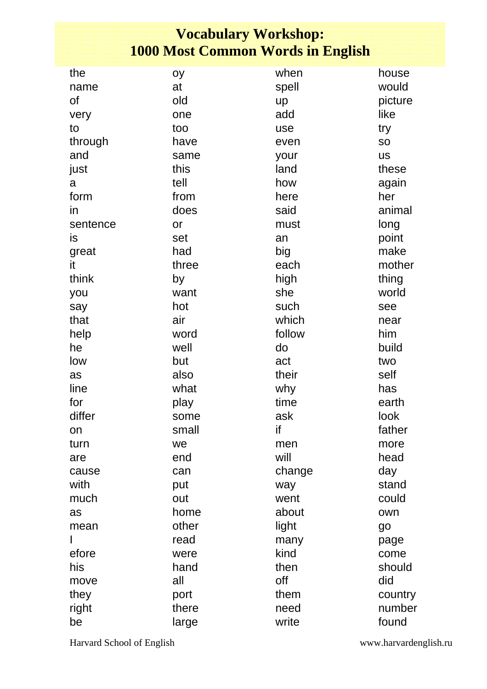## **Vocabulary Workshop: 1000 Most Common Words in English**

| the       | oy    | when   | house     |
|-----------|-------|--------|-----------|
| name      | at    | spell  | would     |
| of        | old   | up     | picture   |
| very      | one   | add    | like      |
| to        | too   | use    | try       |
| through   | have  | even   | <b>SO</b> |
| and       | same  | your   | <b>US</b> |
| just      | this  | land   | these     |
| a         | tell  | how    | again     |
| form      | from  | here   | her       |
| in        | does  | said   | animal    |
| sentence  | or    | must   | long      |
| <i>is</i> | set   | an     | point     |
| great     | had   | big    | make      |
| it        | three | each   | mother    |
| think     | by    | high   | thing     |
| you       | want  | she    | world     |
| say       | hot   | such   | see       |
| that      | air   | which  | near      |
| help      | word  | follow | him       |
| he        | well  | do     | build     |
| low       | but   | act    | two       |
| as        | also  | their  | self      |
| line      | what  | why    | has       |
| for       | play  | time   | earth     |
| differ    | some  | ask    | look      |
| on        | small | if     | father    |
| turn      | we    | men    | more      |
| are       | end   | will   | head      |
| cause     | can   | change | day       |
| with      | put   | way    | stand     |
| much      | out   | went   | could     |
| as        | home  | about  | own       |
| mean      | other | light  | go        |
|           | read  | many   | page      |
| efore     | were  | kind   | come      |
| his       | hand  | then   | should    |
| move      | all   | off    | did       |
| they      | port  | them   | country   |
| right     | there | need   | number    |
| be        | large | write  | found     |

Harvard School of English www.harvardenglish.ru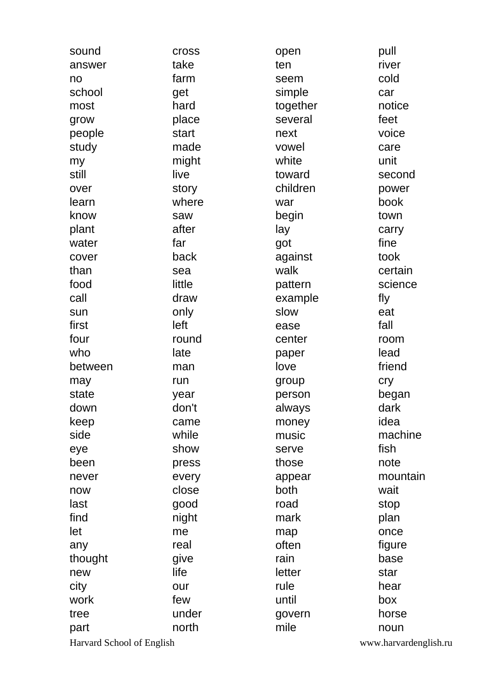| sound                     | <b>Cross</b> | open     | pull                  |
|---------------------------|--------------|----------|-----------------------|
| answer                    | take         | ten      | river                 |
| no                        | farm         | seem     | cold                  |
| school                    | get          | simple   | car                   |
| most                      | hard         | together | notice                |
| grow                      | place        | several  | feet                  |
| people                    | start        | next     | voice                 |
| study                     | made         | vowel    | care                  |
| my                        | might        | white    | unit                  |
| still                     | live         | toward   | second                |
| over                      | story        | children | power                 |
| learn                     | where        | war      | book                  |
| know                      | saw          | begin    | town                  |
| plant                     | after        | lay      | carry                 |
| water                     | far          | got      | fine                  |
| cover                     | back         | against  | took                  |
| than                      | sea          | walk     | certain               |
| food                      | little       | pattern  | science               |
| call                      | draw         | example  | fly                   |
| sun                       | only         | slow     | eat                   |
| first                     | left         | ease     | fall                  |
| four                      | round        | center   | room                  |
| who                       | late         | paper    | lead                  |
| between                   | man          | love     | friend                |
| may                       | run          | group    | cry                   |
| state                     | year         | person   | began                 |
| down                      | don't        | always   | dark                  |
| keep                      | came         | money    | idea                  |
| side                      | while        | music    | machine               |
| eye                       | show         | serve    | fish                  |
| been                      | press        | those    | note                  |
| never                     | every        | appear   | mountain              |
| now                       | close        | both     | wait                  |
| last                      | good         | road     | stop                  |
| find                      | night        | mark     | plan                  |
| let                       | me           | map      | once                  |
| any                       | real         | often    | figure                |
| thought                   | give         | rain     | base                  |
| new                       | life         | letter   | star                  |
| city                      | our          | rule     | hear                  |
| work                      | few          | until    | box                   |
| tree                      | under        | govern   | horse                 |
| part                      | north        | mile     | noun                  |
| Harvard School of English |              |          | www.harvardenglish.ru |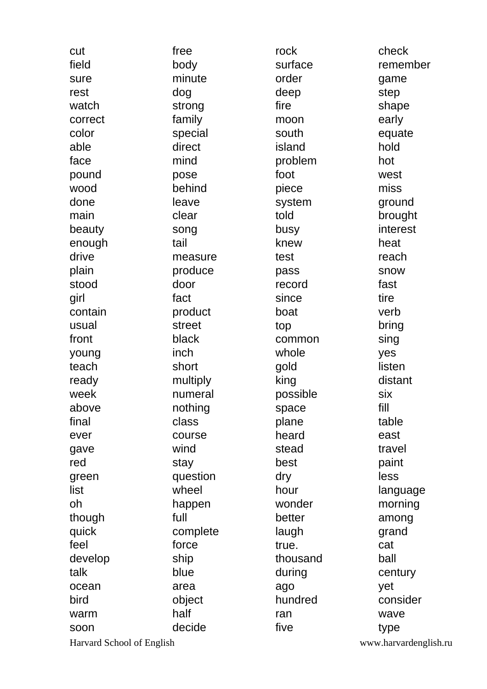| cut                       | free     | rock     | check                 |
|---------------------------|----------|----------|-----------------------|
| field                     | body     | surface  | remember              |
| sure                      | minute   | order    | game                  |
| rest                      | dog      | deep     | step                  |
| watch                     | strong   | fire     | shape                 |
| correct                   | family   | moon     | early                 |
| color                     | special  | south    | equate                |
| able                      | direct   | island   | hold                  |
| face                      | mind     | problem  | hot                   |
| pound                     | pose     | foot     | west                  |
| wood                      | behind   | piece    | miss                  |
| done                      | leave    | system   | ground                |
| main                      | clear    | told     | brought               |
| beauty                    | song     | busy     | interest              |
| enough                    | tail     | knew     | heat                  |
| drive                     | measure  | test     | reach                 |
| plain                     | produce  | pass     | snow                  |
| stood                     | door     | record   | fast                  |
| girl                      | fact     | since    | tire                  |
| contain                   | product  | boat     | verb                  |
| usual                     | street   | top      | bring                 |
| front                     | black    | common   | sing                  |
| young                     | inch     | whole    | yes                   |
| teach                     | short    | gold     | listen                |
| ready                     | multiply | king     | distant               |
| week                      | numeral  | possible | six                   |
| above                     | nothing  | space    | fill                  |
| final                     | class    | plane    | table                 |
| ever                      | course   | heard    | east                  |
| gave                      | wind     | stead    | travel                |
| red                       | stay     | best     | paint                 |
| green                     | question | dry      | less                  |
| list                      | wheel    | hour     | language              |
| oh                        | happen   | wonder   | morning               |
| though                    | full     | better   | among                 |
| quick                     | complete | laugh    | grand                 |
| feel                      | force    | true.    | cat                   |
| develop                   | ship     | thousand | ball                  |
| talk                      | blue     | during   | century               |
| ocean                     | area     | ago      | yet                   |
| bird                      | object   | hundred  | consider              |
| warm                      | half     | ran      | wave                  |
| soon                      | decide   | five     | type                  |
| Harvard School of English |          |          | www.harvardenglish.ru |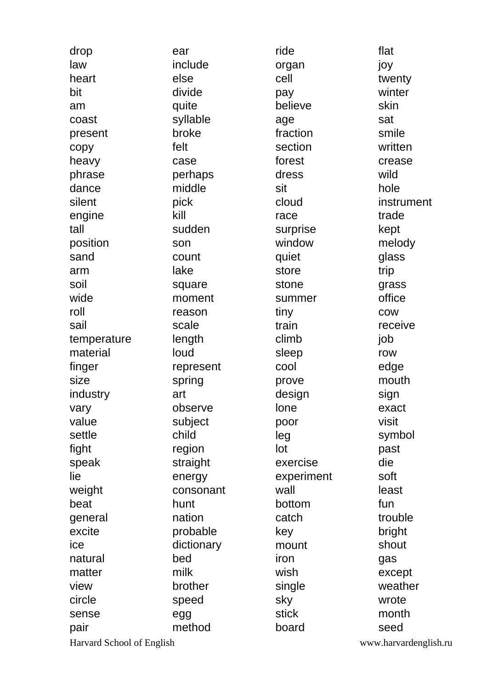| drop                      | ear        | ride       | flat                  |
|---------------------------|------------|------------|-----------------------|
| law                       | include    | organ      | joy                   |
| heart                     | else       | cell       | twenty                |
| bit                       | divide     | pay        | winter                |
| am                        | quite      | believe    | skin                  |
| coast                     | syllable   | age        | sat                   |
| present                   | broke      | fraction   | smile                 |
| copy                      | felt       | section    | written               |
| heavy                     | case       | forest     | crease                |
| phrase                    | perhaps    | dress      | wild                  |
| dance                     | middle     | sit        | hole                  |
| silent                    | pick       | cloud      | instrument            |
| engine                    | kill       | race       | trade                 |
| tall                      | sudden     | surprise   | kept                  |
| position                  | son        | window     | melody                |
| sand                      | count      | quiet      | glass                 |
| arm                       | lake       | store      | trip                  |
| soil                      | square     | stone      | grass                 |
| wide                      | moment     | summer     | office                |
| roll                      | reason     | tiny       | <b>COW</b>            |
| sail                      | scale      | train      | receive               |
| temperature               | length     | climb      | job                   |
| material                  | loud       | sleep      | row                   |
| finger                    | represent  | cool       | edge                  |
| size                      | spring     | prove      | mouth                 |
| industry                  | art        | design     | sign                  |
| vary                      | observe    | lone       | exact                 |
| value                     | subject    | poor       | visit                 |
| settle                    | child      | leg        | symbol                |
| fight                     | region     | lot        | past                  |
| speak                     | straight   | exercise   | die                   |
| lie                       | energy     | experiment | soft                  |
| weight                    | consonant  | wall       | least                 |
| beat                      | hunt       | bottom     | fun                   |
| general                   | nation     | catch      | trouble               |
| excite                    | probable   | key        | bright                |
| ice                       | dictionary | mount      | shout                 |
| natural                   | bed        | iron       | gas                   |
| matter                    | milk       | wish       | except                |
| view                      | brother    | single     | weather               |
| circle                    | speed      | sky        | wrote                 |
| sense                     | egg        | stick      | month                 |
| pair                      | method     | board      | seed                  |
| Harvard School of English |            |            | www.harvardenglish.ru |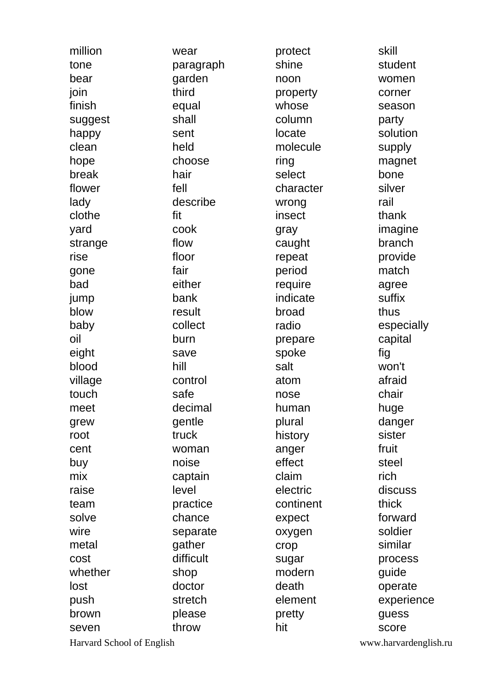| million                   | wear      | protect   | skill                 |
|---------------------------|-----------|-----------|-----------------------|
| tone                      | paragraph | shine     | student               |
| bear                      | garden    | noon      | women                 |
| join                      | third     | property  | corner                |
| finish                    | equal     | whose     | season                |
| suggest                   | shall     | column    | party                 |
| happy                     | sent      | locate    | solution              |
| clean                     | held      | molecule  | supply                |
| hope                      | choose    | ring      | magnet                |
| break                     | hair      | select    | bone                  |
| flower                    | fell      | character | silver                |
| lady                      | describe  | wrong     | rail                  |
| clothe                    | fit       | insect    | thank                 |
| yard                      | cook      | gray      | imagine               |
| strange                   | flow      | caught    | branch                |
| rise                      | floor     | repeat    | provide               |
| gone                      | fair      | period    | match                 |
| bad                       | either    | require   | agree                 |
| jump                      | bank      | indicate  | suffix                |
| blow                      | result    | broad     | thus                  |
| baby                      | collect   | radio     | especially            |
| oil                       | burn      | prepare   | capital               |
| eight                     | save      | spoke     | fig                   |
| blood                     | hill      | salt      | won't                 |
| village                   | control   | atom      | afraid                |
| touch                     | safe      | nose      | chair                 |
| meet                      | decimal   | human     | huge                  |
| grew                      | gentle    | plural    | danger                |
| root                      | truck     | history   | sister                |
| cent                      | woman     | anger     | fruit                 |
| buy                       | noise     | effect    | steel                 |
| mix                       | captain   | claim     | rich                  |
| raise                     | level     | electric  | discuss               |
| team                      | practice  | continent | thick                 |
| solve                     | chance    | expect    | forward               |
| wire                      | separate  | oxygen    | soldier               |
| metal                     | gather    | crop      | similar               |
| cost                      | difficult | sugar     | process               |
| whether                   | shop      | modern    | guide                 |
| lost                      | doctor    | death     | operate               |
| push                      | stretch   | element   | experience            |
| brown                     | please    | pretty    | guess                 |
| seven                     | throw     | hit       | score                 |
| Harvard School of English |           |           | www.harvardenglish.ru |